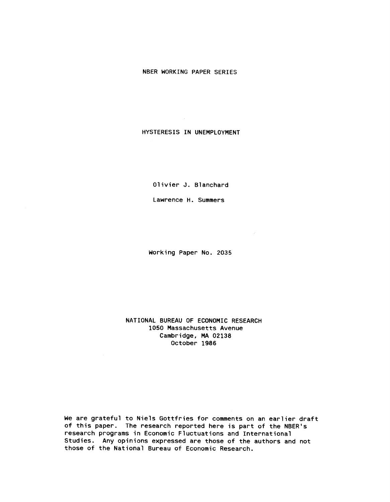## NBER WORKING PAPER SERIES

HYSTERESIS IN UNEMPLOYMENT

Olivier J. Blanchard

Lawrence H. Summers

Working Paper No. 2035

NATIONAL BUREAU OF ECONOMIC RESEARCH 1050 Massachusetts Avenue Cambridge, MA 02138 October 1986

We are grateful to Niels Gottfries for comments on an earlier draft of this paper. The research reported here is part of the NBER's research programs in Economic Fluctuations and International Studies. Any opinions expressed are those of the authors and not those of the National Bureau of Economic Research.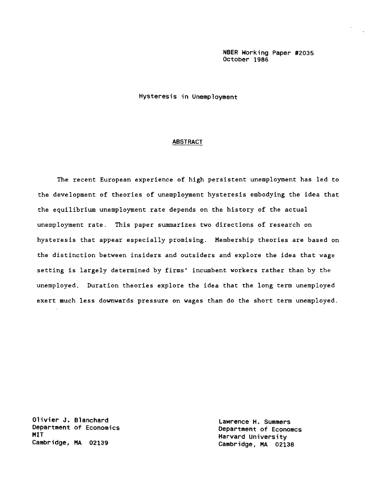NBER Working Paper #2035 October 1986

Hysteresis in Unemployment

### **ABSTRACT**

The recent European experience of high persistent unemployment has led to the development of theories of unemployment hysteresis embodying the idea that the equilibrium unemployment rate depends on the history of the actual unemployment rate. This paper summarizes two directions of research on hysteresis that appear especially promising. Membership theories are based on the distinction between insiders and outsiders and explore the idea that wage setting is largely determined by firms' incumbent workers rather than by the unemployed. Duration theories explore the idea that the long term unemployed exert much less downwards pressure on wages than do the short term unemployed.

Olivier J. Blanchard<br>Department of Economics and Lawrence H. Summers Department of Economics<br>
MIT<br>
MIT<br>
Manuand University MIT Harvard University

Cambridge, MA 02138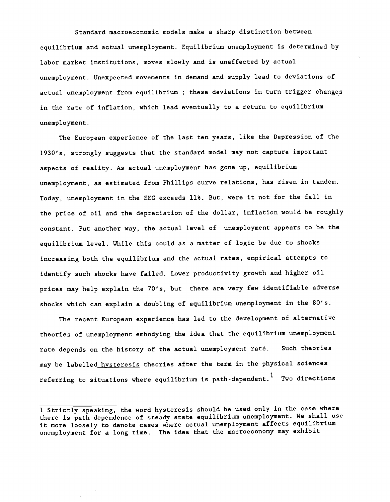Standard macroeconomic models make a sharp distinction between equilibrium and actual unemployment. Equilibrium unemployment is determined by labor market institutions, moves slowly and is unaffected by actual unemployment. Unexpected movements in demand and supply lead to deviations of actual unemployment from equilibrium ; these deviations in turn trigger changes in the rate of inflation, which lead eventually to a return to equilibrium unemployment.

The European experience of the last ten years, like the Depression of the 1930's, strongly suggests that the standard model may not capture important aspects of reality. As actual unemployment has gone up, equilibrium unemployment, as estimated from Phillips curve relations, has risen in tandem. Today, unemployment in the EEC exceeds 11%. But, were it not for the fall in the price of oil and the depreciation of the dollar, inflation would be roughly constant. Put another way, the actual level of unemployment appears to be the equilibrium level. While this could as a matter of logic be due to shocks increasing both the equilibrium and the actual rates, empirical attempts to identify such shocks have failed. Lower productivity growth and higher oil prices may help explain the 70's, but there are very few identifiable adverse shocks which can explain a doubling of equilibrium unemployment in the 80's.

The recent European experience has led to the development of alternative theories of unemployment embodying the idea that the equilibrium unemployment rate depends on the history of the actual unemployment rate. Such theories may be labelled hysteresis theories after the term in the physical sciences referring to situations where equilibrium is path-dependent.<sup>1</sup> Two directions

<sup>1</sup> Strictly speaking, the word hysteresis should be used only in the case where there is path dependence of steady state equilibrium unemployment. We shall use it more loosely to denote cases where actual unemployment affects equilibrium unemployment for a long time. The idea that the macroeconomy may exhibit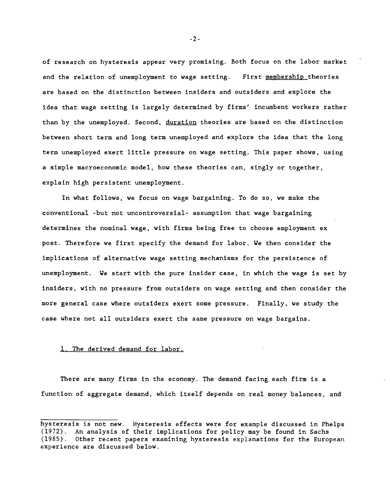of research on hysteresis appear very promising. Both focus on the labor market and the relation of unemployment to wage setting. First membership theories are based on the distinction between insiders and outsiders and explore the idea that wage setting is largely determined by firms' incumbent workers rather than by the unemployed. Second, duration theories are based on the distinction between short term and long term unemployed and explore the idea that the long term unemployed exert little pressure on wage setting. This paper shows, using a simple macroeconomic model, how these theories can, singly or together, explain high persistent unemployment.

In what follows, we focus on wage bargaining. To do so, we make the conventional -but not uncontroversial- assumption that wage bargaining determines the nominal wage, with firms being free to choose employment ex post. Therefore we first specify the demand for labor. We then consider the implications of alternative wage setting mechanisms for the persistence of unemployment. We start with the pure insider case, in which the wage is set by insiders, with no pressure from outsiders on wage setting and then consider the more general case where outsiders exert some pressure. Finally, we study the case where not all outsiders exert the same pressure on wage bargains.

## 1. The derived demand for labor.

There are many firms in the economy. The demand facing each firm is a function of aggregate demand, which itself depends on real money balances, and

-2-

hysteresis is not new. Hysteresis effects were for example discussed in Phelps (1972). An analysis of their implications for policy may be found in Sachs (1985). Other recent papers examining hysteresis explanations for the European experience are discussed below.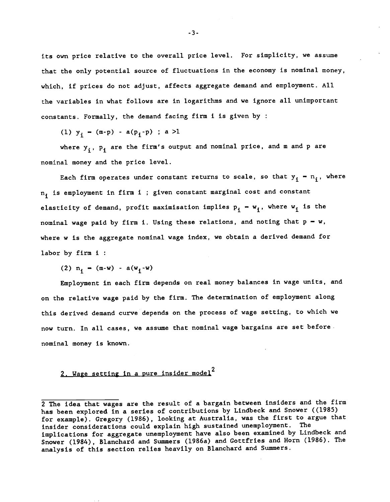its own price relative to the overall price level. For simplicity, we assume that the only potential source of fluctuations in the economy is nominal money, which, if prices do not adjust, affects aggregate demand and employment. All the variables in what follows are in logarithms and we ignore all unimportant constants. Formally, the demand facing firm i is given by

(1)  $y_i = (m-p) - a(p_i-p)$ ; a >1

where  $y_i$ ,  $p_i$  are the firm's output and nominal price, and m and p are nominal money and the price level.

Each firm operates under constant returns to scale, so that  $y_i - n_i$ , where  $n_i$  is employment in firm i ; given constant marginal cost and constant elasticity of demand, profit maximisation implies  $p_i - w_i$ , where  $w_i$  is the nominal wage paid by firm i. Using these relations, and noting that  $p - w$ , where w is the aggregate nominal wage index, we obtain a derived demand for labor by firm i

(2)  $n_i$  – (m-w) - a(w<sub>i</sub>-w)

Employment in each firm depends on real money balances in wage units, and on the relative wage paid by the firm. The determination of employment along this derived demand curve depends on the process of wage setting, to which we now turn. In all cases, we assume that nominal wage bargains are set before. nominal money is known.

# 2. Wage setting in a pure insider model<sup>2</sup>

<sup>2</sup> The idea that wages are the result of a bargain between insiders and the firm has been explored in a series of contributions by Lindbeck and Snower ((1985) for example). Gregory (1986), looking at Australia, was the first to argue that insider considerations could explain high sustained unemployment. The implications for aggregate unemployment have also been examined by Lindbeck and Snower (1984), Blanchard and Summers (1986a) and Gottfries and Horn (1986). The analysis of this section relies heavily on Blanchard and Summers.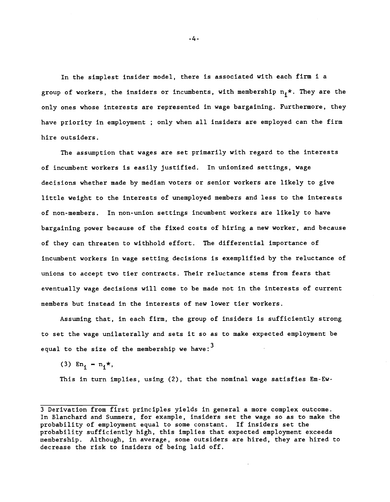In the simplest insider model, there is associated with each firm i <sup>a</sup> group of workers, the insiders or incumbents, with membership  $n_1 *$ . They are the only ones whose interests are represented in wage bargaining. Furthermore, they have priority in employment ; only when all insiders are employed can the firm hire outsiders.

The assumption that wages are set primarily with regard to the interests of incumbent workers is easily justified. In unionized settings, wage decisions whether made by median voters or senior workers are likely to give little weight to the interests of unemployed members and less to the interests of non-members. In non-union settings incumbent workers are likely to have bargaining power because of the fixed costs of hiring a new worker, and because of they can threaten to withhold effort. The differential importance of incumbent workers in wage setting decisions is exemplified by the reluctance of unions to accept two tier contracts. Their reluctance stems from fears that eventually wage decisions will come to be made not in the interests of current members but instead in the interests of new lower tier workers.

Assuming that, in each firm, the group of insiders is sufficiently strong to set the wage unilaterally and sets it so as to make expected employment be equal to the size of the membership we have:  $3$ 

(3)  $En_i = n_i *$ ,

This in turn implies, using (2), that the nominal wage satisfies Em-Ew-

-4-

<sup>3</sup> Derivation from first principles yields in general a more complex outcome. In Blanchard and Summers, for example, insiders set the wage so as to make the probability of employment equal to some constant. If insiders set the probability sufficiently high, this implies that expected employment exceeds membership. Although, in average, some outsiders are hired, they are hired to decrease the risk to insiders of being laid off.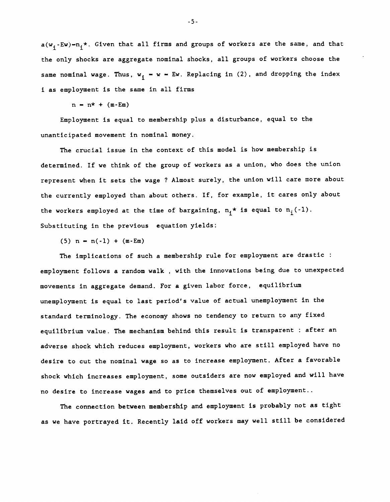$a(w_i-Ew)-n_i^*$ . Given that all firms and groups of workers are the same, and that the only shocks are aggregate nominal shocks, all groups of workers choose the same nominal wage. Thus,  $w_j - w - Ew$ . Replacing in (2), and dropping the index i as employment is the same in all firms

 $n = n^* + (m - Em)$ 

Employment is equal to membership plus a disturbance, equal to the unanticipated movement in nominal money.

The crucial issue in the context of this model is how membership is determined. If we think of the group of workers as a union, who does the union represent when it sets the wage ? Almost surely, the union will care more about the currently employed than about others. If, for example, it cares only about the workers employed at the time of bargaining,  $n_i^*$  is equal to  $n_i(-1)$ . Substituting in the previous equation yields:

 $(5)$  n = n(-1) + (m-Em)

The implications of such a membership rule for employment are drastic employment follows a random walk , with the innovations being due to unexpected movements in aggregate demand. For a given labor force, equilibrium unemployment is equal to last period's value of actual unemployment in the standard terminology. The economy shows no tendency to return to any fixed equilibrium value. The mechanism behind this result is transparent : after an adverse shock which reduces employment, workers who are still employed have no desire to cut the nominal wage so as to increase employment. After a favorable shock which increases employment, some outsiders are now employed and will have no desire to increase wages and to price themselves out of employment..

The connection between membership and employment is probably not as tight as we have portrayed it. Recently laid off workers may well still be considered

-5-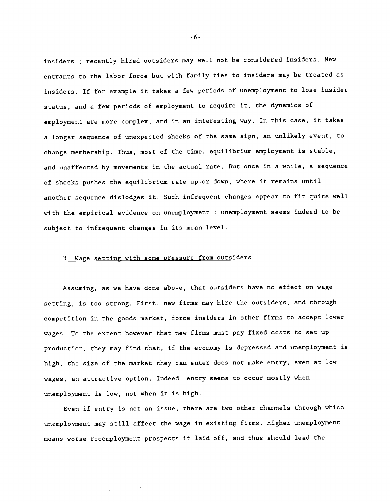insiders ; recently hired outsiders may well not be considered insiders. New entrants to the labor force but with family ties to insiders may be treated as insiders. If for example it takes a few periods of unemployment to lose insider status, and a few periods of employment to acquire it, the dynamics of employment are more complex, and in an interesting way. In this case, it takes a longer sequence of unexpected shocks of the same sign, an unlikely event, to change membership. Thus, most of the time, equilibrium employment is stable, and unaffected by movements in the actual rate. But once in a while, a sequence of shocks pushes the equilibrium rate up.or down, where it remains until another sequence dislodges it. Such infrequent changes appear to fit quite well with the empirical evidence on unemployment : unemployment seems indeed to be subject to infrequent changes in its mean level.

## 3. Wage setting with some pressure from outsiders

Assuming, as we have done above, that outsiders have no effect on wage setting, is too strong. First, new firms may hire the outsiders, and through competition in the goods market, force insiders in other firms to accept lower wages. To the extent however that new firms must pay fixed costs to set up production, they may find that, if the economy is depressed and unemployment is high, the size of the market they can enter does not make entry, even at low wages, an attractive option. Indeed, entry seems to occur mostly when unemployment is low, not when it is high.

Even if entry is not an issue, there are two other channels through which unemployment may still affect the wage in existing firms. Higher unemployment means worse reeemployment prospects if laid off, and thus should lead the

-6-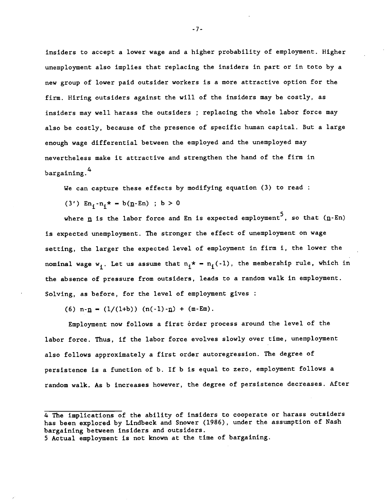insiders to accept a lower wage and a higher probability of employment. Higher unemployment also implies that replacing the insiders in part or in toto by a new group of lower paid outsider workers is a more attractive option for the firm. Hiring outsiders against the will of the insiders may be costly, as insiders may well harass the outsiders ; replacing the whole labor force may also be costly, because of the presence of specific human capital. But a large enough wage differential between the employed and the unemployed may nevertheless make it attractive and strengthen the hand of the firm in bargaining.<sup>4</sup>

We can capture these effects by modifying equation (3) to read :

(3')  $En_i - n_i * - b(n-En)$  ; b > 0

where  $\underline{n}$  is the labor force and En is expected employment<sup>5</sup>, so that  $(\underline{n}$ -En) is expected unemployment. The stronger the effect of unemployment on wage setting, the larger the expected level of employment in firm i, the lower the nominal wage w<sub>i</sub>. Let us assume that  $n_i^* = n_i(-1)$ , the membership rule, which in the absence of pressure from outsiders, leads to a random walk in employment. Solving, as before, for the level of employment gives :

(6)  $n - n = (1/(1+b)) (n(-1) - n) + (m - Em)$ .

Employment now follows a first order process around the level of the labor force. Thus, if the labor force evolves slowly over time, unemployment also follows approximately a first order autoregression. The degree of persistence is a function of b. If b is equal to zero, employment follows a random walk. As b increases however, the degree of persistence decreases. After

5 Actual employment is not known at the time of bargaining.

-7-

<sup>4</sup> The implications of the ability of insiders to cooperate or harass outsiders has been explored by Lindbeck and Snower (1986), under the assumption of Nash bargaining between insiders and outsiders.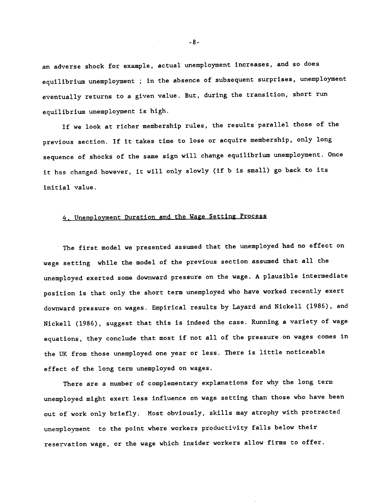an adverse shock for example, actual unemployment increases, and so does equilibrium unemployment ; in the absence of subsequent surprises, unemployment eventually returns to a given value. But, during the transition, short run equilibrium unemployment is high.

If we look at richer membership rules, the results parallel those of the previous section. If it takes time to lose or acquire membership, only long sequence of shocks of the same sign will change equilibrium unemployment. Once it has changed however, it will only slowly (if b is small) go back to its initial value.

## 4. Unemployment Duration and the Wage Setting Process

The first model we presented assumed that the unemployed had no effect on wage setting while the model of the previous section assumed that all the unemployed exerted some downward pressure on the wage. A plausible intermediate position is that only the short term unemployed who have worked recently exert downward pressure on wages. Empirical results by Layard and Nickell (1986), and Nickell (1986), suggest that this is indeed the case. Running a variety of wage equations, they conclude that most if not all of the pressure on wages comes in the UK from those unemployed one year or less. There is little noticeable effect of the long term unemployed on wages.

There are a number of complementary explanations for why the long term unemployed might exert less influence on wage setting than those who have been out of work only briefly. Most obviously, skills may atrophy with protracted unemployment to the point where workers productivity falls below their reservation wage, or the wage which insider workers allow firms to offer.

-8-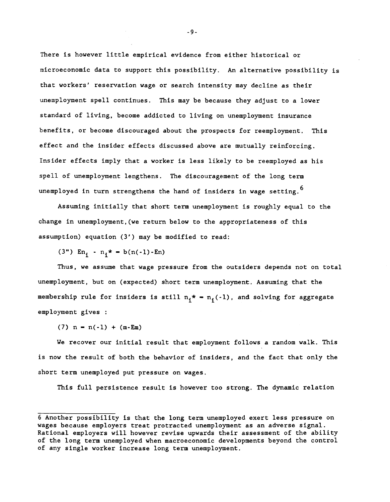There is however little empirical evidence from either historical or microeconomic data to support this possibility. An alternative possibility is that workers' reservation wage or search intensity may decline as their unemployment spell continues. This may be because they adjust to a lower standard of living, become addicted to living on unemployment insurance benefits, or become discouraged about the prospects for reemployment. This effect and the insider effects discussed above are mutually reinforcing. Insider effects imply that a worker is less likely to be reemployed as his spell of unemployment lengthens. The discouragement of the long term unemployed in turn strengthens the hand of insiders in wage setting.  $^6$ 

Assuming initially that short term unemployment is roughly equal to the change in unemployment,(we return below to the appropriateness of this assumption) equation (3') may be modified to read:

(3")  $En_i - n_i* = b(n(-1)-En)$ 

Thus, we assume that wage pressure from the outsiders depends not on total unemployment, but on (expected) short term unemployment. Assuming that the membership rule for insiders is still  $n_i^* = n_i(-1)$ , and solving for aggregate employment gives

 $(7)$  n = n(-1) + (m-Em)

We recover our initial result that employment follows a random walk. This is now the result of both the behavior of insiders, and the fact that only the short term unemployed put pressure on wages.

This full persistence result is however too strong. The dynamic relation

<sup>6</sup> Another possibility is that the long term unemployed exert less pressure on wages because employers treat protracted unemployment as an adverse signal. Rational employers will however revise upwards their assessment of the ability of the long term unemployed when macroeconomic developments beyond the control of any single worker increase long term unemployment.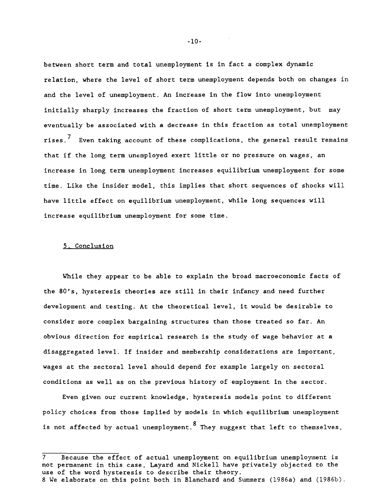between short term and total unemployment is in fact a complex dynamic relation, where the level of short term unemployment depends both on changes in and the level of unemployment. An increase in the flow into unemployment initially sharply increases the fraction of short term unemployment, but may eventually be associated with a decrease in this fraction as total unemployment rises.<sup> $7$ </sup> Even taking account of these complications, the general result remains that if the long term unemployed exert little or no pressure on wages, an increase in long term unemployment increases equilibrium unemployment for some time. Like the insider model, this implies that short sequences of shocks will have little effect on equilibrium unemployment, while long sequences will increase equilibrium unemployment for some time.

## 5. Conclusion

While they appear to be able to explain the broad macroeconomic facts of the 80's, hysteresis theories are still in their infancy and need further development and testing. At the theoretical level, it would be desirable to consider more complex bargaining structures than those treated so far. An obvious direction for empirical research is the study of wage behavior at a disaggregated level. If insider and membership considerations are important, wages at the sectoral level should depend for example largely on sectoral conditions as well as on the previous history of employment in the sector.

Even given our current knowledge, hysteresis models point to different policy choices from those implied by models in which equilibrium unemployment is not affected by actual unemployment.  $8$  They suggest that left to themselves,

8 We elaborate on this point both in Blanchard and Summers (l986a) and (1986b).

-10-

<sup>7</sup> Because the effect of actual unemployment on equilibrium unemployment is not permanent in this case, Layard and Nickell have privately objected to the use of the word hysteresis to describe their theory.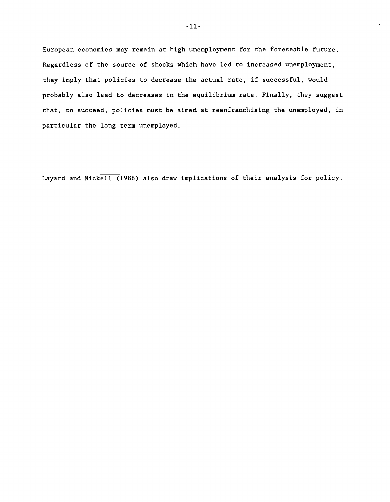European economies may remain at high unemployment for the foreseable future. Regardless of the source of shocks which have led to increased unemployment, they imply that policies to decrease the actual rate, if successful, would probably also lead to decreases in the equilibrium rate. Finally, they suggest that, to succeed, policies must be aimed at reenfranchising the unemployed, in particular the long term unemployed.

Layard and Nickell (1986) also draw implications of their analysis for policy.